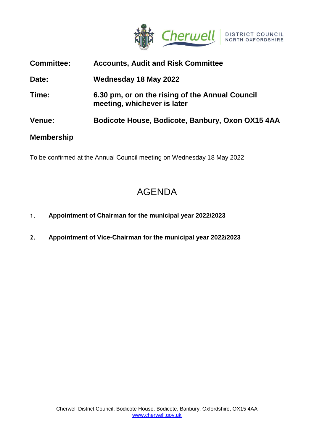

| <b>Committee:</b> | <b>Accounts, Audit and Risk Committee</b>                                      |
|-------------------|--------------------------------------------------------------------------------|
| Date:             | Wednesday 18 May 2022                                                          |
| Time:             | 6.30 pm, or on the rising of the Annual Council<br>meeting, whichever is later |
| <b>Venue:</b>     | Bodicote House, Bodicote, Banbury, Oxon OX15 4AA                               |
| <b>Membership</b> |                                                                                |

To be confirmed at the Annual Council meeting on Wednesday 18 May 2022

# AGENDA

- **1. Appointment of Chairman for the municipal year 2022/2023**
- **2. Appointment of Vice-Chairman for the municipal year 2022/2023**